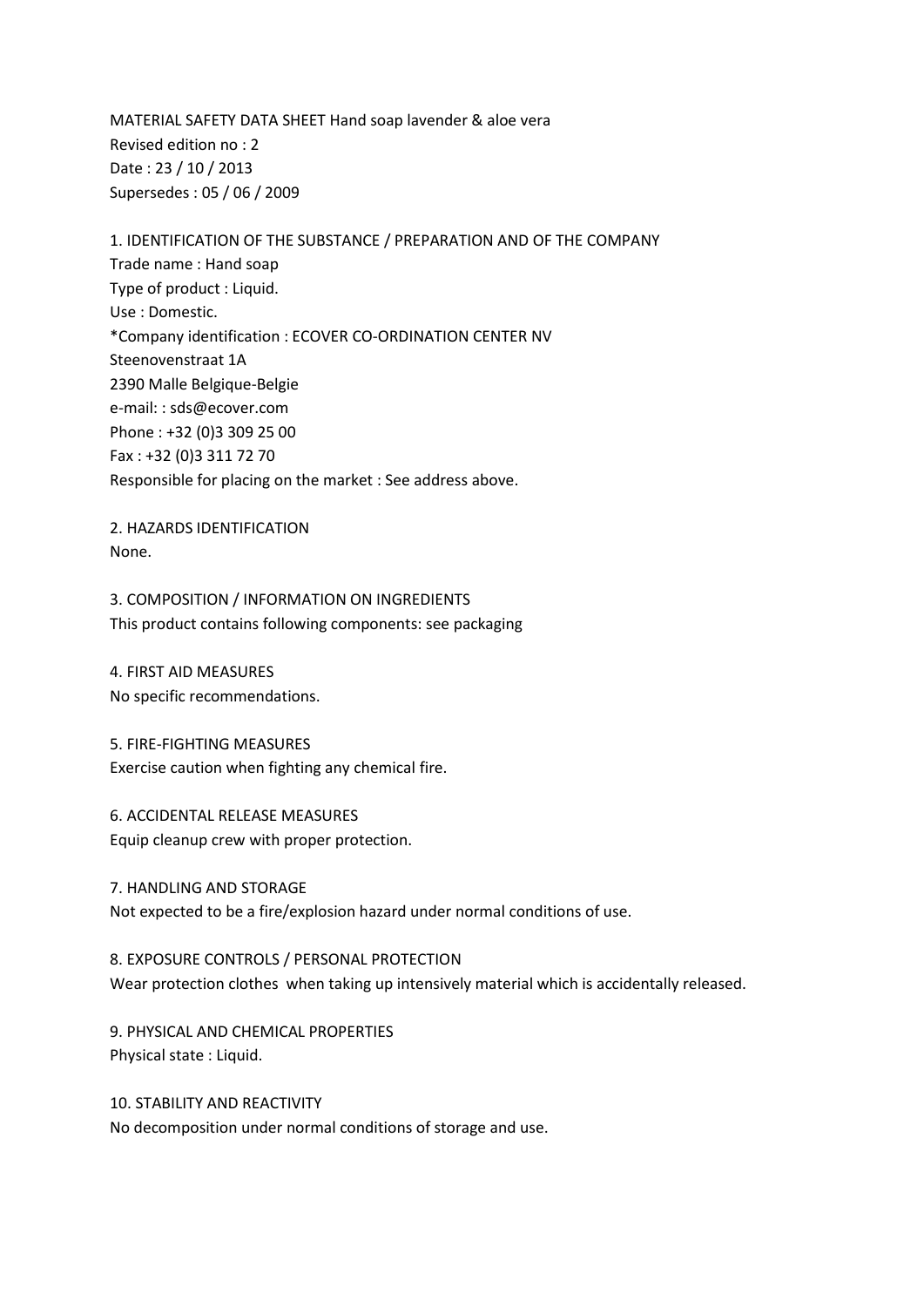MATERIAL SAFETY DATA SHEET Hand soap lavender & aloe vera Revised edition no : 2 Date : 23 / 10 / 2013 Supersedes : 05 / 06 / 2009

1. IDENTIFICATION OF THE SUBSTANCE / PREPARATION AND OF THE COMPANY Trade name : Hand soap Type of product : Liquid. Use : Domestic. \*Company identification : ECOVER CO-ORDINATION CENTER NV Steenovenstraat 1A 2390 Malle Belgique-Belgie e-mail: : sds@ecover.com Phone : +32 (0)3 309 25 00 Fax : +32 (0)3 311 72 70 Responsible for placing on the market : See address above.

2. HAZARDS IDENTIFICATION None.

3. COMPOSITION / INFORMATION ON INGREDIENTS This product contains following components: see packaging

4. FIRST AID MEASURES No specific recommendations.

5. FIRE-FIGHTING MEASURES Exercise caution when fighting any chemical fire.

6. ACCIDENTAL RELEASE MEASURES Equip cleanup crew with proper protection.

7. HANDLING AND STORAGE Not expected to be a fire/explosion hazard under normal conditions of use.

8. EXPOSURE CONTROLS / PERSONAL PROTECTION Wear protection clothes when taking up intensively material which is accidentally released.

9. PHYSICAL AND CHEMICAL PROPERTIES Physical state : Liquid.

10. STABILITY AND REACTIVITY No decomposition under normal conditions of storage and use.